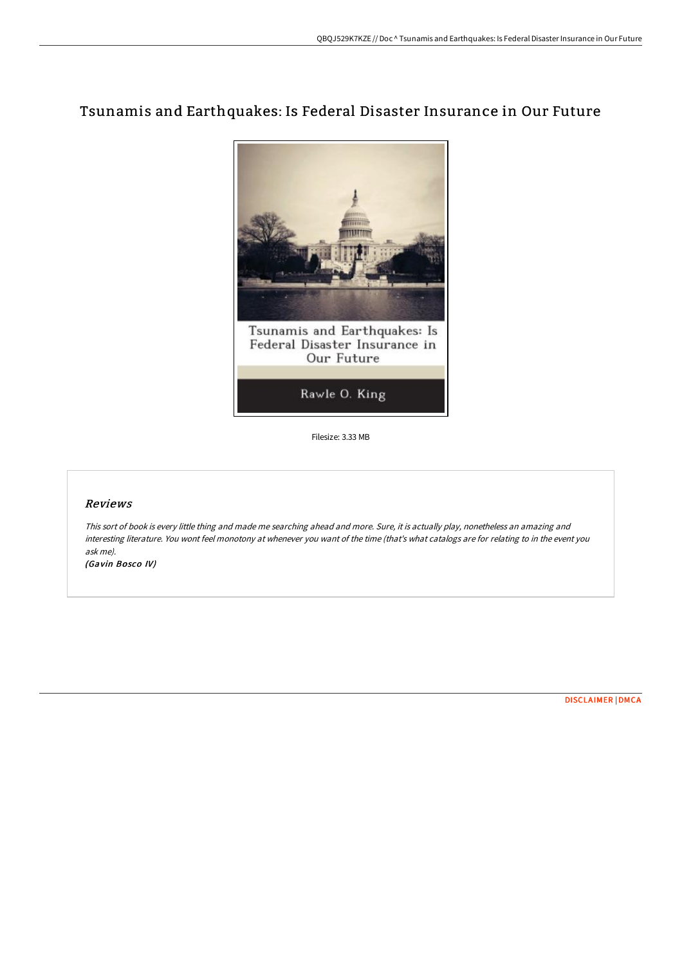## Tsunamis and Earthquakes: Is Federal Disaster Insurance in Our Future



Filesize: 3.33 MB

## Reviews

This sort of book is every little thing and made me searching ahead and more. Sure, it is actually play, nonetheless an amazing and interesting literature. You wont feel monotony at whenever you want of the time (that's what catalogs are for relating to in the event you ask me).

(Gavin Bosco IV)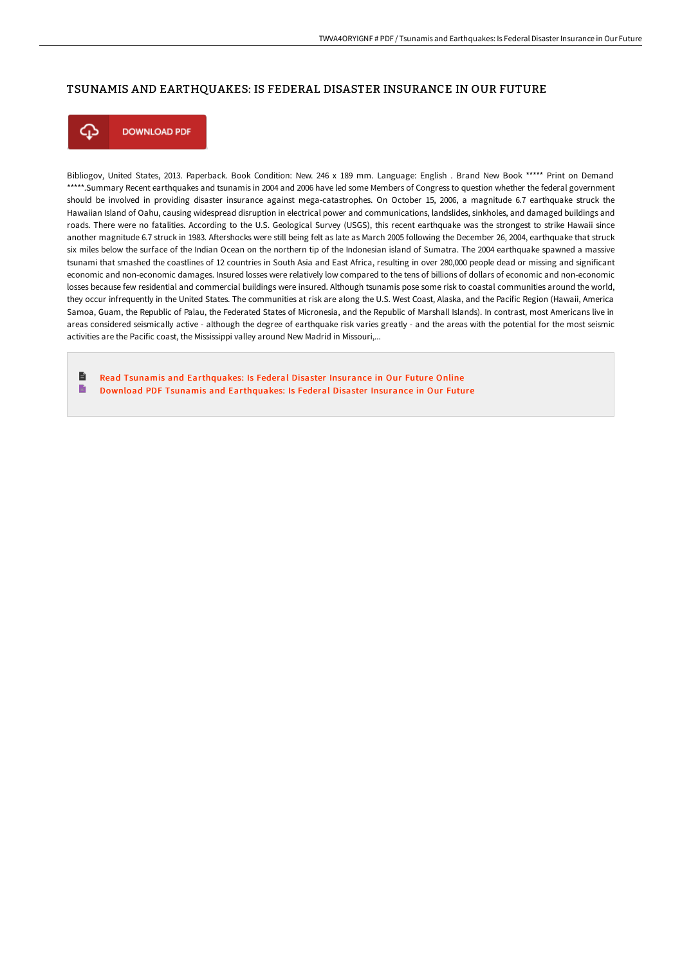## TSUNAMIS AND EARTHQUAKES: IS FEDERAL DISASTER INSURANCE IN OUR FUTURE



**DOWNLOAD PDF** 

Bibliogov, United States, 2013. Paperback. Book Condition: New. 246 x 189 mm. Language: English . Brand New Book \*\*\*\*\* Print on Demand \*\*\*\*\*.Summary Recent earthquakes and tsunamis in 2004 and 2006 have led some Members of Congress to question whether the federal government should be involved in providing disaster insurance against mega-catastrophes. On October 15, 2006, a magnitude 6.7 earthquake struck the Hawaiian Island of Oahu, causing widespread disruption in electrical power and communications, landslides, sinkholes, and damaged buildings and roads. There were no fatalities. According to the U.S. Geological Survey (USGS), this recent earthquake was the strongest to strike Hawaii since another magnitude 6.7 struck in 1983. Aftershocks were still being felt as late as March 2005 following the December 26, 2004, earthquake that struck six miles below the surface of the Indian Ocean on the northern tip of the Indonesian island of Sumatra. The 2004 earthquake spawned a massive tsunami that smashed the coastlines of 12 countries in South Asia and East Africa, resulting in over 280,000 people dead or missing and significant economic and non-economic damages. Insured losses were relatively low compared to the tens of billions of dollars of economic and non-economic losses because few residential and commercial buildings were insured. Although tsunamis pose some risk to coastal communities around the world, they occur infrequently in the United States. The communities at risk are along the U.S. West Coast, Alaska, and the Pacific Region (Hawaii, America Samoa, Guam, the Republic of Palau, the Federated States of Micronesia, and the Republic of Marshall Islands). In contrast, most Americans live in areas considered seismically active - although the degree of earthquake risk varies greatly - and the areas with the potential for the most seismic activities are the Pacific coast, the Mississippi valley around New Madrid in Missouri,...

B Read Tsunamis and [Earthquakes:](http://bookera.tech/tsunamis-and-earthquakes-is-federal-disaster-ins.html) Is Federal Disaster Insurance in Our Future Online E Download PDF Tsunamis and [Earthquakes:](http://bookera.tech/tsunamis-and-earthquakes-is-federal-disaster-ins.html) Is Federal Disaster Insurance in Our Future